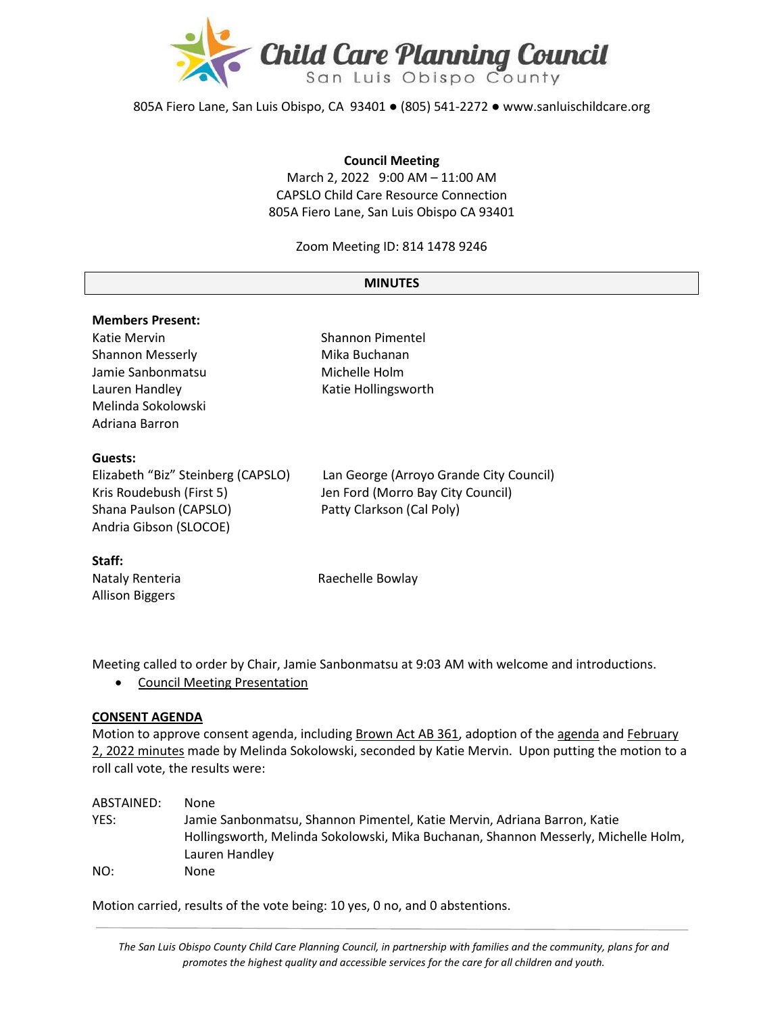

805A Fiero Lane, San Luis Obispo, CA 93401 ● (805) 541-2272 ● www.sanluischildcare.org

#### **Council Meeting**

March 2, 2022 9:00 AM – 11:00 AM CAPSLO Child Care Resource Connection 805A Fiero Lane, San Luis Obispo CA 93401

Zoom Meeting ID: 814 1478 9246

#### **MINUTES**

# **Members Present:** Katie Mervin **Shannon Pimentel** Shannon Messerly **Mika Buchanan** Jamie Sanbonmatsu Michelle Holm Lauren Handley **Katie Hollingsworth** Melinda Sokolowski Adriana Barron **Guests:** Elizabeth "Biz" Steinberg (CAPSLO) Lan George (Arroyo Grande City Council) Kris Roudebush (First 5) Jen Ford (Morro Bay City Council) Shana Paulson (CAPSLO) Patty Clarkson (Cal Poly) Andria Gibson (SLOCOE) **Staff:** Nataly Renteria **Raechelle Bowlay**

Allison Biggers

Meeting called to order by Chair, Jamie Sanbonmatsu at 9:03 AM with welcome and introductions.

• [Council Meeting Presentation](https://drive.google.com/file/d/13bRemby9AkTRQYmIml9aKeY2Z_-tcGxY/view?usp=sharing)

#### **CONSENT AGENDA**

Motion to approve consent agenda, including [Brown Act AB 361,](https://drive.google.com/file/d/1RyWWXHy9ljKwK5o5-N4POHj_vAcBMkMz/view?usp=sharing) adoption of th[e agenda](https://drive.google.com/file/d/1RuBrcwRpgbuRsZWNsrHyZ0tH0cW04jax/view?usp=sharing) and February 2, 2022 [minutes](https://drive.google.com/file/d/1osjpia_vzRkDzrjyXR-4y02bygXXzdRH/view?usp=sharing) made by Melinda Sokolowski, seconded by Katie Mervin. Upon putting the motion to a roll call vote, the results were:

| ABSTAINED: | None                                                                                                                                                           |
|------------|----------------------------------------------------------------------------------------------------------------------------------------------------------------|
| YES:       | Jamie Sanbonmatsu, Shannon Pimentel, Katie Mervin, Adriana Barron, Katie<br>Hollingsworth, Melinda Sokolowski, Mika Buchanan, Shannon Messerly, Michelle Holm, |
|            | Lauren Handley                                                                                                                                                 |
| NO:        | None                                                                                                                                                           |

Motion carried, results of the vote being: 10 yes, 0 no, and 0 abstentions.

*The San Luis Obispo County Child Care Planning Council, in partnership with families and the community, plans for and promotes the highest quality and accessible services for the care for all children and youth.*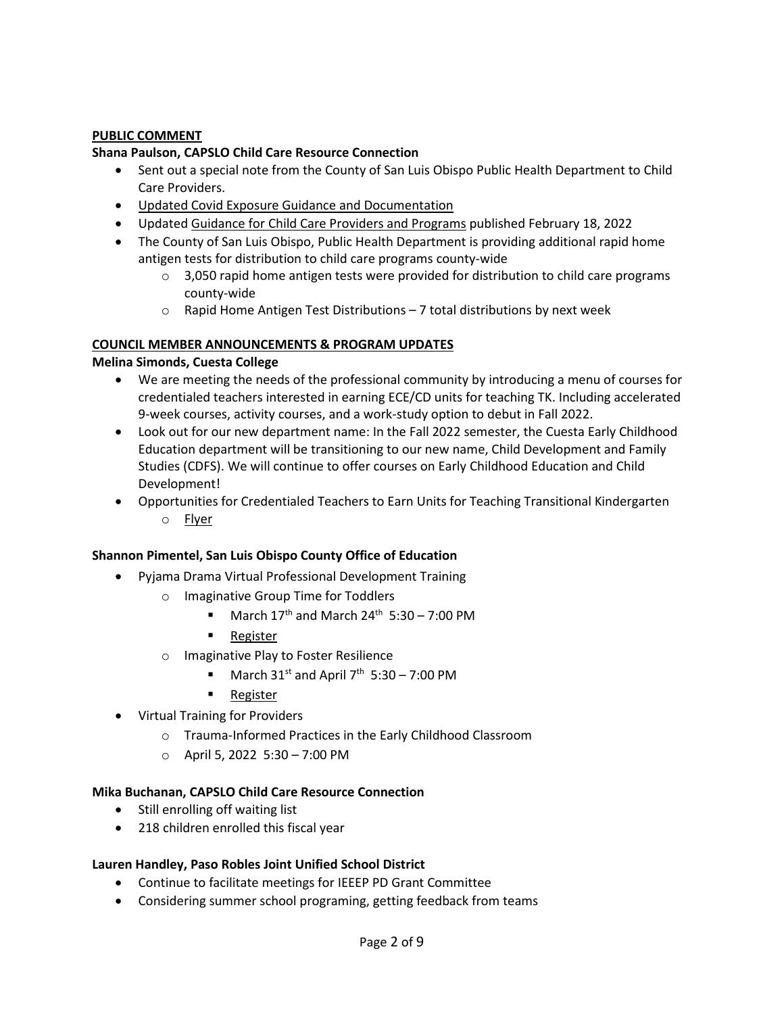# **PUBLIC COMMENT**

#### **Shana Paulson, CAPSLO Child Care Resource Connection**

- Sent out a special note from the County of San Luis Obispo Public Health Department to Child Care Providers.
- [Updated Covid Exposure Guidance and Documentation](http://www.sanluischildcare.org/covid--19-resources.html)
- Updated [Guidance for Child Care Providers and Programs](https://www.cdph.ca.gov/Programs/CID/DCDC/Pages/COVID-19/Child-Care-Guidance.aspx) published February 18, 2022
- The County of San Luis Obispo, Public Health Department is providing additional rapid home antigen tests for distribution to child care programs county-wide
	- $\circ$  3,050 rapid home antigen tests were provided for distribution to child care programs county-wide
	- $\circ$  Rapid Home Antigen Test Distributions 7 total distributions by next week

## **COUNCIL MEMBER ANNOUNCEMENTS & PROGRAM UPDATES**

#### **Melina Simonds, Cuesta College**

- We are meeting the needs of the professional community by introducing a menu of courses for credentialed teachers interested in earning ECE/CD units for teaching TK. Including accelerated 9-week courses, activity courses, and a work-study option to debut in Fall 2022.
- Look out for our new department name: In the Fall 2022 semester, the Cuesta Early Childhood Education department will be transitioning to our new name, Child Development and Family Studies (CDFS). We will continue to offer courses on Early Childhood Education and Child Development!
- Opportunities for Credentialed Teachers to Earn Units for Teaching Transitional Kindergarten o [Flyer](https://drive.google.com/file/d/1Ly5aEwk4_kckTzLkVv4EkV7BLpbKsruw/view)

#### **Shannon Pimentel, San Luis Obispo County Office of Education**

- Pyjama Drama Virtual Professional Development Training
	- o Imaginative Group Time for Toddlers
		- March  $17<sup>th</sup>$  and March  $24<sup>th</sup>$  5:30 7:00 PM
		- [Register](https://slocoe.k12oms.org/964-215508)
	- o Imaginative Play to Foster Resilience
		- March  $31<sup>st</sup>$  and April 7<sup>th</sup> 5:30 7:00 PM
		- **[Register](https://slocoe.k12oms.org/964-215515)**
- Virtual Training for Providers
	- o Trauma-Informed Practices in the Early Childhood Classroom
	- $O$  April 5, 2022 5:30 7:00 PM

#### **Mika Buchanan, CAPSLO Child Care Resource Connection**

- Still enrolling off waiting list
- 218 children enrolled this fiscal year

#### **Lauren Handley, Paso Robles Joint Unified School District**

- Continue to facilitate meetings for IEEEP PD Grant Committee
- Considering summer school programing, getting feedback from teams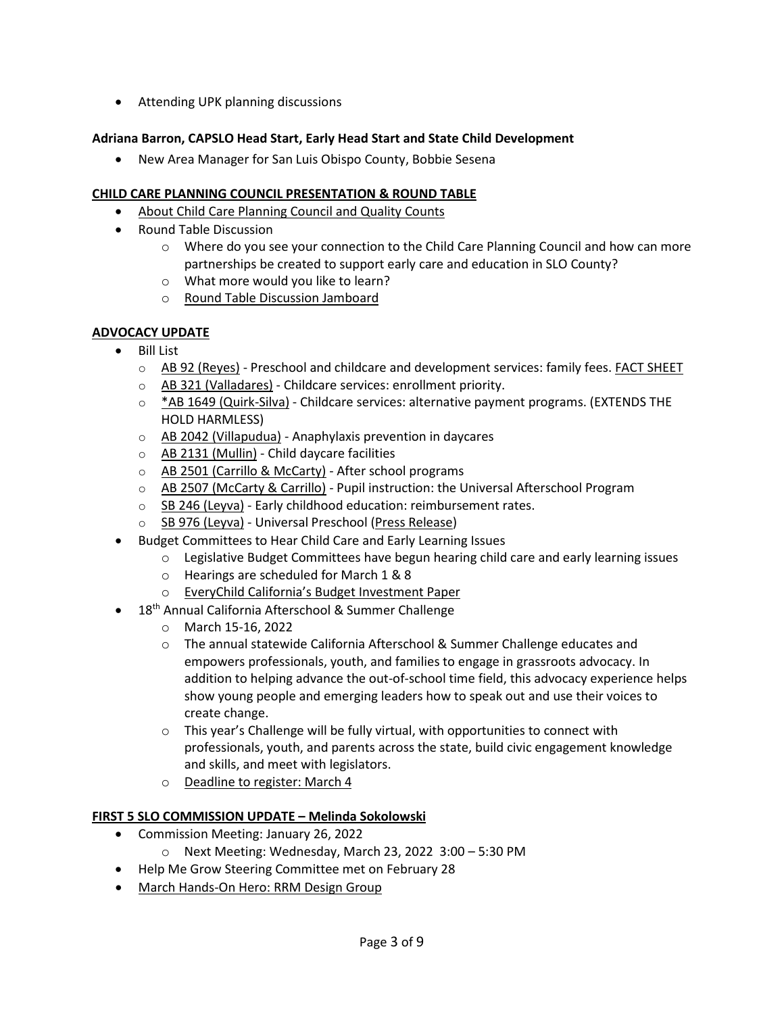• Attending UPK planning discussions

# **Adriana Barron, CAPSLO Head Start, Early Head Start and State Child Development**

• New Area Manager for San Luis Obispo County, Bobbie Sesena

# **CHILD CARE PLANNING COUNCIL PRESENTATION & ROUND TABLE**

- [About Child Care Planning Council and Quality Counts](https://www.canva.com/design/DAE5rpbA85Y/IhJD3NmwMgPiEoDaaYjJWQ/view?utm_content=DAE5rpbA85Y&utm_campaign=designshare&utm_medium=link&utm_source=publishsharelink&utm_source=canva&utm_medium=iframely)
- Round Table Discussion
	- o Where do you see your connection to the Child Care Planning Council and how can more partnerships be created to support early care and education in SLO County?
	- o What more would you like to learn?
	- o [Round Table Discussion Jamboard](https://jamboard.google.com/d/1dk0SbAtfvYmDGg1Bn65zg6xvfIhbqAIlBYkIqVvRIQ8/viewer)

## **ADVOCACY UPDATE**

- Bill List
	- o [AB 92 \(Reyes\)](https://leginfo.legislature.ca.gov/faces/billTextClient.xhtml?bill_id=202120220AB92) Preschool and childcare and development services: family fees[. FACT SHEET](https://cappa.memberclicks.net/assets/PublicPolicy/2022/AdvocacyDay/AB%2092%20%28Gomez%20Reyes%29%20-%20Family%20Fees%20Factsheet_01.16.2022.pdf)
	- o [AB 321 \(Valladares\)](https://leginfo.legislature.ca.gov/faces/billNavClient.xhtml?bill_id=202120220AB321) Childcare services: enrollment priority.
	- o [\\*AB 1649 \(Quirk](https://leginfo.legislature.ca.gov/faces/billNavClient.xhtml?bill_id=202120220AB1649)-Silva) Childcare services: alternative payment programs. (EXTENDS THE HOLD HARMLESS)
	- o [AB 2042 \(Villapudua\)](https://leginfo.legislature.ca.gov/faces/billTextClient.xhtml?bill_id=202120220AB2042&search_keywords=%22daycare%22) Anaphylaxis prevention in daycares
	- o [AB 2131 \(Mullin\)](https://leginfo.legislature.ca.gov/faces/billTextClient.xhtml?bill_id=202120220AB2131&search_keywords=%22child+care%22) Child daycare facilities
	- o [AB 2501 \(Carrillo & McCarty\)](https://leginfo.legislature.ca.gov/faces/billTextClient.xhtml?bill_id=202120220AB2501&search_keywords=%22childcare%22) After school programs
	- o [AB 2507 \(McCarty & Carrillo\)](https://leginfo.legislature.ca.gov/faces/billTextClient.xhtml?bill_id=202120220AB2507&search_keywords=%22childcare%22) Pupil instruction: the Universal Afterschool Program
	- $\circ$  [SB 246 \(Leyva\)](https://leginfo.legislature.ca.gov/faces/billTextClient.xhtml?bill_id=202120220SB246) Early childhood education: reimbursement rates.
	- o [SB 976 \(Leyva\)](https://leginfo.legislature.ca.gov/faces/billNavClient.xhtml?bill_id=202120220SB976) Universal Preschool [\(Press Release\)](https://sd20.senate.ca.gov/news/2022-02-10-senator-leyva-working-families-need-true-access-universal-preschool)
- Budget Committees to Hear Child Care and Early Learning Issues
	- $\circ$  Legislative Budget Committees have begun hearing child care and early learning issues
	- o Hearings are scheduled for March 1 & 8
	- o [EveryChild California's Budget Investment Paper](https://drive.google.com/file/d/1YzBD0msbKbadaMB5jzSPnNc2HGi4hQ44/view)
	- 18<sup>th</sup> Annual California Afterschool & Summer Challenge
		- o March 15-16, 2022
		- o The annual statewide California Afterschool & Summer Challenge educates and empowers professionals, youth, and families to engage in grassroots advocacy. In addition to helping advance the out-of-school time field, this advocacy experience helps show young people and emerging leaders how to speak out and use their voices to create change.
		- $\circ$  This year's Challenge will be fully virtual, with opportunities to connect with professionals, youth, and parents across the state, build civic engagement knowledge and skills, and meet with legislators.
		- o [Deadline to register: March 4](https://www.eventbrite.com/e/18th-annual-california-afterschool-summer-challenge-virtual-registration-243171351057)

#### **FIRST 5 SLO COMMISSION UPDATE – Melinda Sokolowski**

- Commission Meeting: January 26, 2022
	- o Next Meeting: Wednesday, March 23, 2022 3:00 5:30 PM
- Help Me Grow Steering Committee met on February 28
- March Hands-[On Hero: RRM Design Group](https://storage.googleapis.com/first5slo-org/uploads/March%202022%20First%205%20Hands-on%20Heroes%20@Work%20Press%20Ready%20Ad.pdf)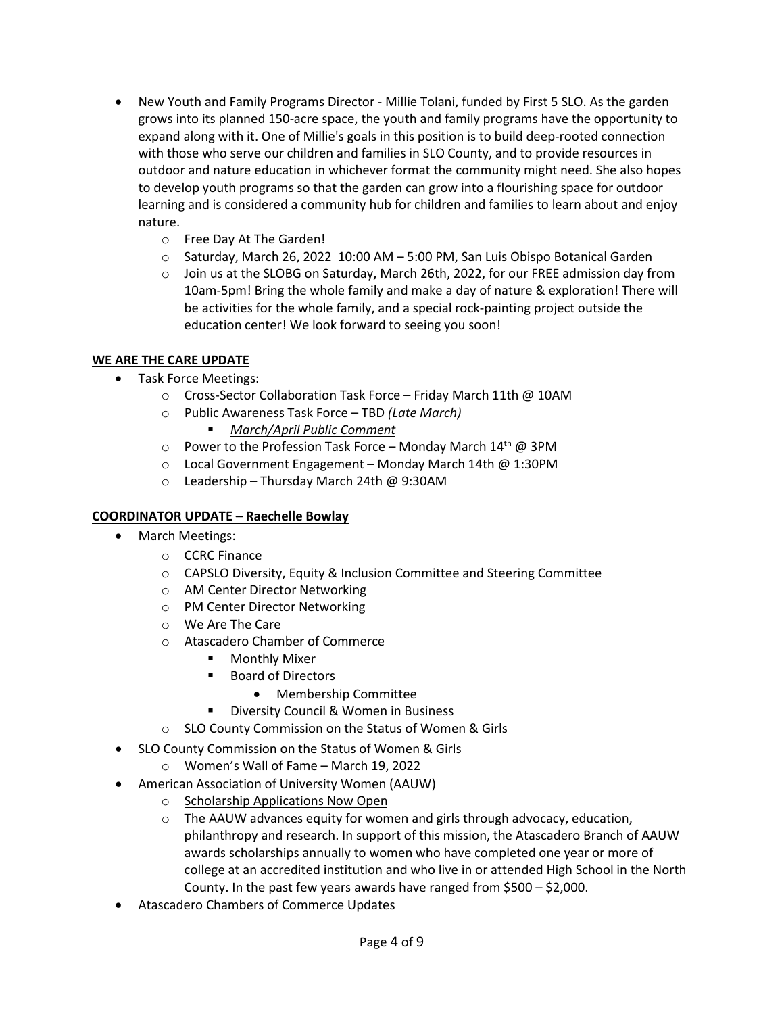- New Youth and Family Programs Director Millie Tolani, funded by First 5 SLO. As the garden grows into its planned 150-acre space, the youth and family programs have the opportunity to expand along with it. One of Millie's goals in this position is to build deep-rooted connection with those who serve our children and families in SLO County, and to provide resources in outdoor and nature education in whichever format the community might need. She also hopes to develop youth programs so that the garden can grow into a flourishing space for outdoor learning and is considered a community hub for children and families to learn about and enjoy nature.
	- o Free Day At The Garden!
	- $\circ$  Saturday, March 26, 2022 10:00 AM 5:00 PM, San Luis Obispo Botanical Garden
	- o Join us at the SLOBG on Saturday, March 26th, 2022, for our FREE admission day from 10am-5pm! Bring the whole family and make a day of nature & exploration! There will be activities for the whole family, and a special rock-painting project outside the education center! We look forward to seeing you soon!

# **WE ARE THE CARE UPDATE**

- Task Force Meetings:
	- o Cross-Sector Collaboration Task Force Friday March 11th @ 10AM
	- o Public Awareness Task Force TBD *(Late March)*
		- *March/April [Public Comment](https://docs.google.com/spreadsheets/d/1mJA5c-vy3H9V2LpQiYpWVLcJNR8_-8l_gnvKxJorwgY/edit#gid=1097591146)*
	- $\circ$  Power to the Profession Task Force Monday March 14<sup>th</sup> @ 3PM
	- o Local Government Engagement Monday March 14th @ 1:30PM
	- o Leadership Thursday March 24th @ 9:30AM

# **COORDINATOR UPDATE – Raechelle Bowlay**

- March Meetings:
	- o CCRC Finance
	- o CAPSLO Diversity, Equity & Inclusion Committee and Steering Committee
	- o AM Center Director Networking
	- o PM Center Director Networking
	- o We Are The Care
	- o Atascadero Chamber of Commerce
		- **•** Monthly Mixer
		- **Board of Directors** 
			- Membership Committee
		- Diversity Council & Women in Business
	- o SLO County Commission on the Status of Women & Girls
- SLO County Commission on the Status of Women & Girls
	- o Women's Wall of Fame March 19, 2022
- American Association of University Women (AAUW)
	- o [Scholarship Applications Now Open](https://atascadero-ca.aauw.net/scholarship/)
	- o The AAUW advances equity for women and girls through advocacy, education, philanthropy and research. In support of this mission, the Atascadero Branch of AAUW awards scholarships annually to women who have completed one year or more of college at an accredited institution and who live in or attended High School in the North County. In the past few years awards have ranged from \$500 – \$2,000.
- Atascadero Chambers of Commerce Updates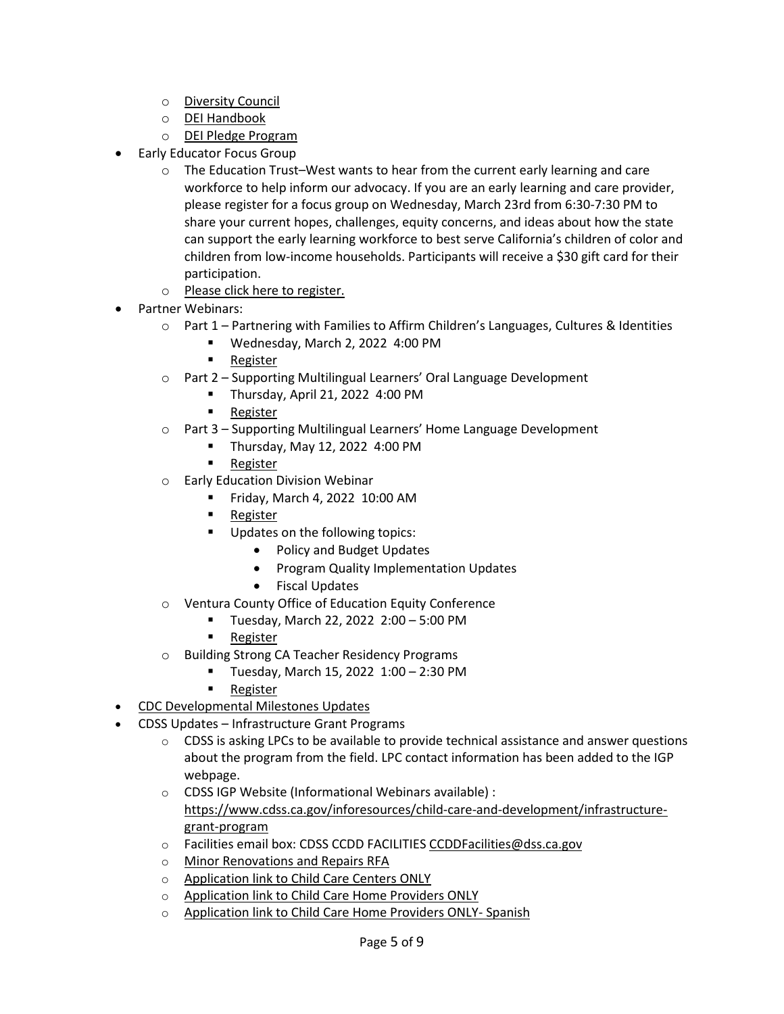- o [Diversity Council](https://www.atascaderochamber.org/committees/diversity-council/)
- o [DEI Handbook](https://www.atascaderochamber.org/committees/diversity-council/diversity-handbook/)
- o [DEI Pledge Program](https://www.atascaderochamber.org/committees/diversity-council/the-pledge/)
- Early Educator Focus Group
	- $\circ$  The Education Trust–West wants to hear from the current early learning and care workforce to help inform our advocacy. If you are an early learning and care provider, please register for a focus group on Wednesday, March 23rd from 6:30-7:30 PM to share your current hopes, challenges, equity concerns, and ideas about how the state can support the early learning workforce to best serve California's children of color and children from low-income households. Participants will receive a \$30 gift card for their participation.
	- o [Please click here to register.](https://edtrust.zoom.us/meeting/register/tJwrdumgqToiGdADJsrSDv5vXSC0mVZ4LrlA)
- Partner Webinars:
	- $\circ$  Part 1 Partnering with Families to Affirm Children's Languages, Cultures & Identities
		- Wednesday, March 2, 2022 4:00 PM
		- **[Register](https://us02web.zoom.us/webinar/register/WN_Bo0hGQzaRf6r4WC3rSIk7g)**
	- o Part 2 Supporting Multilingual Learners' Oral Language Development
		- Thursday, April 21, 2022 4:00 PM
			- **[Register](https://us02web.zoom.us/webinar/register/WN_sh2ubeCiRE-uXWp4lEZ8og)**
	- o Part 3 Supporting Multilingual Learners' Home Language Development
		- Thursday, May 12, 2022  $4:00 \text{ PM}$
		- [Register](https://us02web.zoom.us/webinar/register/WN_UtQmwPARSgeaQZvMr4fGOA)
	- o Early Education Division Webinar
		- **Fiday, March 4, 2022 10:00 AM**
		- **[Register](https://us02web.zoom.us/j/83402474330#success)**
		- Updates on the following topics:
			- Policy and Budget Updates
			- Program Quality Implementation Updates
			- Fiscal Updates
	- o Ventura County Office of Education Equity Conference
		- Tuesday, March 22, 2022 2:00 5:00 PM
		- **[Register](https://www.vcoe.org/equity22)**
	- o Building Strong CA Teacher Residency Programs
		- **Tuesday, March 15, 2022 1:00 2:30 PM**
		- **[Register](https://www.eventbrite.com/e/building-strong-ca-teacher-residency-programs-tickets-260646309127)**
- [CDC Developmental Milestones Updates](https://drive.google.com/drive/u/5/folders/1bioEHitgLtBDU-zYYpSar9s9dFgWsZBo)
- CDSS Updates Infrastructure Grant Programs
	- $\circ$  CDSS is asking LPCs to be available to provide technical assistance and answer questions about the program from the field. LPC contact information has been added to the IGP webpage.
	- o CDSS IGP Website (Informational Webinars available) : [https://www.cdss.ca.gov/inforesources/child](https://www.cdss.ca.gov/inforesources/child-care-and-development/infrastructure-grant-program)-care-and-development/infrastructuregrant-[program](https://www.cdss.ca.gov/inforesources/child-care-and-development/infrastructure-grant-program)
	- o Facilities email box: CDSS CCDD FACILITIE[S CCDDFacilities@dss.ca.gov](http://dss.ca.gov/)
	- o [Minor Renovations and Repairs RFA](https://www.cdss.ca.gov/inforesources/child-care-and-development/infrastructure-grant-program/minor-renovation-and-repairs)
	- o [Application link to Child Care Centers ONLY](https://liifund.submittable.com/submit/6c24072d-1065-4a56-bff3-34bac7d70e0e/igp-rfa-1-minor-renovation-and-repairs-grant-program-child-care-center)
	- o Ap[plication link to Child Care Home Providers ONLY](https://liifund.submittable.com/submit/12d7b63d-42a9-4b29-b341-98bb09daca2f/igp-rfa1-minor-renovation-and-repairs-grant-program-family-child-care/eligibility)
	- o [Application link to Child Care Home Providers ONLY](https://liifund.submittable.com/submit/5451d840-819f-43db-b3b0-f830f217054c/igp-rfa1-programa-de-subvenciones-para-reparaciones-y-renovaciones-menores-cui) Spanish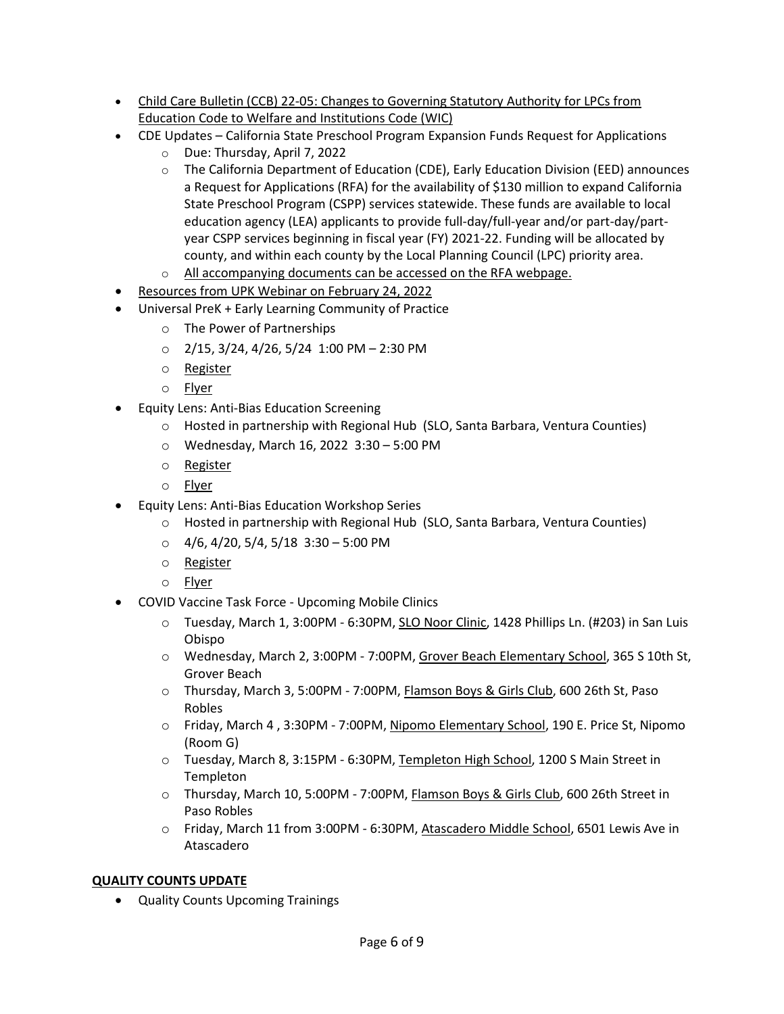- Child Care Bulletin (CCB) 22-[05: Changes to Governing Statutory Authority for LPCs from](https://drive.google.com/file/d/1tTVLVYhcgc8xKFohqjdLzXShBzrF7em6/view?usp=sharing)  [Education Code to Welfare and Institutions Code \(WIC\)](https://drive.google.com/file/d/1tTVLVYhcgc8xKFohqjdLzXShBzrF7em6/view?usp=sharing)
- CDE Updates California State Preschool Program Expansion Funds Request for Applications
	- o Due: Thursday, April 7, 2022
	- $\circ$  The California Department of Education (CDE), Early Education Division (EED) announces a Request for Applications (RFA) for the availability of \$130 million to expand California State Preschool Program (CSPP) services statewide. These funds are available to local education agency (LEA) applicants to provide full-day/full-year and/or part-day/partyear CSPP services beginning in fiscal year (FY) 2021-22. Funding will be allocated by county, and within each county by the Local Planning Council (LPC) priority area.
	- o [All accompanying documents can be accessed on the RFA webpage.](https://www.cde.ca.gov/fg/fo/r2/cspp21rfa.asp)
- [Resources from UPK Webinar on February 24, 2022](https://drive.google.com/drive/folders/1PQ_tb9gczmmcM6IUxvRIGGeNeXnrZHoh?usp=sharing)
- Universal PreK + Early Learning Community of Practice
	- o The Power of Partnerships
	- $O$  2/15, 3/24, 4/26, 5/24 1:00 PM 2:30 PM
	- o [Register](https://slocoe.k12oms.org/2535-213646)
	- o [Flyer](https://drive.google.com/file/d/1DNHpvKJDs6WS2pWdkaTaU8jH7s8eDxzP/view?usp=sharing)
- Equity Lens: Anti-Bias Education Screening
	- o Hosted in partnership with Regional Hub (SLO, Santa Barbara, Ventura Counties)
	- o Wednesday, March 16, 2022 3:30 5:00 PM
	- o [Register](https://vcoe.k12oms.org/1618-214927)
	- o [Flyer](https://drive.google.com/file/d/1kptFTiR1HCWOrn3D0J5rnzwVqy0HcYxq/view?usp=sharing)
	- Equity Lens: Anti-Bias Education Workshop Series
		- o Hosted in partnership with Regional Hub (SLO, Santa Barbara, Ventura Counties)
		- $O$  4/6, 4/20, 5/4, 5/18 3:30 5:00 PM
		- o [Register](https://us02web.zoom.us/meeting/register/tZUlcuyurD8jE90Mjui1V7V-IVzkE1fKMEpZ)
		- o [Flyer](https://drive.google.com/file/d/1XNAoGm_GS9HUmzhzacnWgsvYM7Clq7Yz/view?usp=sharing)
- COVID Vaccine Task Force Upcoming Mobile Clinics
	- o Tuesday, March 1, 3:00PM 6:30PM, [SLO Noor Clinic,](https://drive.google.com/file/d/1Vt61BBe4Zva2I7jPx_4lM6ruzhoV-ZVk/view?usp=sharing) 1428 Phillips Ln. (#203) in San Luis Obispo
	- o Wednesday, March 2, 3:00PM 7:00PM, [Grover Beach Elementary School,](https://drive.google.com/file/d/18HqSlTE0gjsipktVvkL3ToH4_i_j62qd/view?usp=sharing) 365 S 10th St, Grover Beach
	- o Thursday, March 3, 5:00PM 7:00PM, [Flamson Boys & Girls Club,](https://drive.google.com/file/d/1pL6ngRPz838nZ5cgZaKxg-Q_EttWm9mn/view?usp=sharing) 600 26th St, Paso Robles
	- o Friday, March 4 , 3:30PM 7:00PM, [Nipomo Elementary School,](https://drive.google.com/file/d/1I4gdLJqC6K7SgBDriR7O9hPyHJFZ9bCJ/view?usp=sharing) 190 E. Price St, Nipomo (Room G)
	- o Tuesday, March 8, 3:15PM 6:30PM, [Templeton High School,](https://drive.google.com/file/d/1tNdPoLWFuAIMuGEEoWFNPF0sKHpNLJa5/view?usp=sharing) 1200 S Main Street in Templeton
	- o Thursday, March 10, 5:00PM 7:00PM, [Flamson Boys & Girls Club,](https://drive.google.com/file/d/1pL6ngRPz838nZ5cgZaKxg-Q_EttWm9mn/view?usp=sharing) 600 26th Street in Paso Robles
	- o Friday, March 11 from 3:00PM 6:30PM, Atascadero Middle School, 6501 Lewis Ave in Atascadero

# **QUALITY COUNTS UPDATE**

• Quality Counts Upcoming Trainings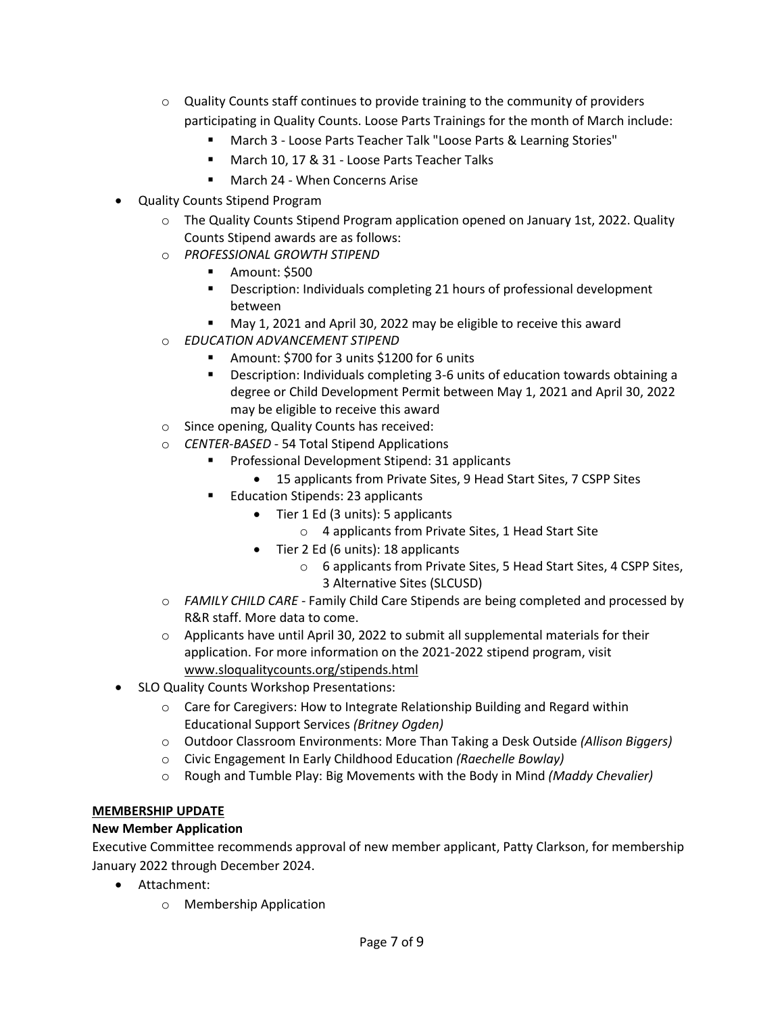- $\circ$  Quality Counts staff continues to provide training to the community of providers participating in Quality Counts. Loose Parts Trainings for the month of March include:
	- March 3 Loose Parts Teacher Talk "Loose Parts & Learning Stories"
	- **March 10, 17 & 31 Loose Parts Teacher Talks**
	- March 24 When Concerns Arise
- Quality Counts Stipend Program
	- o The Quality Counts Stipend Program application opened on January 1st, 2022. Quality Counts Stipend awards are as follows:
	- o *PROFESSIONAL GROWTH STIPEND*
		- **Amount: \$500**
		- **Description: Individuals completing 21 hours of professional development** between
		- **May 1, 2021 and April 30, 2022 may be eligible to receive this award**
	- o *EDUCATION ADVANCEMENT STIPEND*
		- Amount: \$700 for 3 units \$1200 for 6 units
		- Description: Individuals completing 3-6 units of education towards obtaining a degree or Child Development Permit between May 1, 2021 and April 30, 2022 may be eligible to receive this award
	- o Since opening, Quality Counts has received:
	- o *CENTER-BASED* 54 Total Stipend Applications
		- **Professional Development Stipend: 31 applicants** 
			- 15 applicants from Private Sites, 9 Head Start Sites, 7 CSPP Sites
		- Education Stipends: 23 applicants
			- Tier 1 Ed (3 units): 5 applicants
				- o 4 applicants from Private Sites, 1 Head Start Site
			- Tier 2 Ed (6 units): 18 applicants
				- o 6 applicants from Private Sites, 5 Head Start Sites, 4 CSPP Sites, 3 Alternative Sites (SLCUSD)
	- o *FAMILY CHILD CARE* Family Child Care Stipends are being completed and processed by R&R staff. More data to come.
	- $\circ$  Applicants have until April 30, 2022 to submit all supplemental materials for their application. For more information on the 2021-2022 stipend program, visit [www.sloqualitycounts.org/stipends.html](http://www.sloqualitycounts.org/stipends.html)
- SLO Quality Counts Workshop Presentations:
	- $\circ$  Care for Caregivers: How to Integrate Relationship Building and Regard within Educational Support Services *(Britney Ogden)*
	- o Outdoor Classroom Environments: More Than Taking a Desk Outside *(Allison Biggers)*
	- o Civic Engagement In Early Childhood Education *(Raechelle Bowlay)*
	- o Rough and Tumble Play: Big Movements with the Body in Mind *(Maddy Chevalier)*

# **MEMBERSHIP UPDATE**

# **New Member Application**

Executive Committee recommends approval of new member applicant, Patty Clarkson, for membership January 2022 through December 2024.

- Attachment:
	- o Membership Application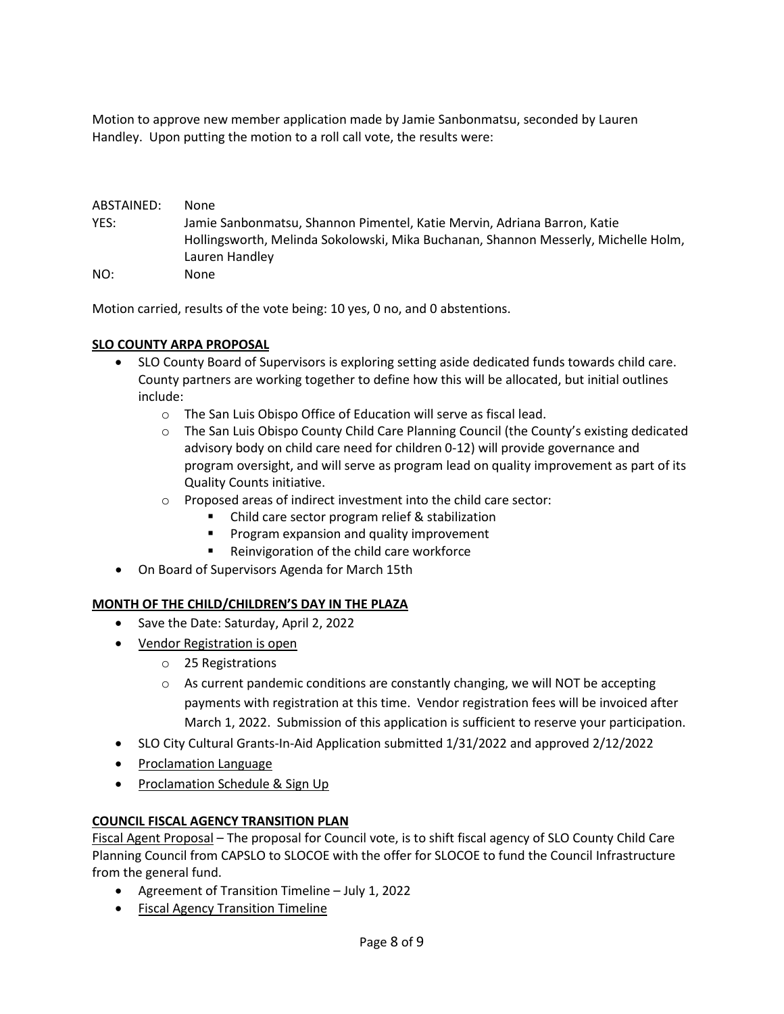Motion to approve new member application made by Jamie Sanbonmatsu, seconded by Lauren Handley. Upon putting the motion to a roll call vote, the results were:

| ABSTAINED: | None.                                                                              |
|------------|------------------------------------------------------------------------------------|
| YES:       | Jamie Sanbonmatsu, Shannon Pimentel, Katie Mervin, Adriana Barron, Katie           |
|            | Hollingsworth, Melinda Sokolowski, Mika Buchanan, Shannon Messerly, Michelle Holm, |
|            | Lauren Handley                                                                     |
| NO:        | None                                                                               |

Motion carried, results of the vote being: 10 yes, 0 no, and 0 abstentions.

# **SLO COUNTY ARPA PROPOSAL**

- SLO County Board of Supervisors is exploring setting aside dedicated funds towards child care. County partners are working together to define how this will be allocated, but initial outlines include:
	- o The San Luis Obispo Office of Education will serve as fiscal lead.
	- o The San Luis Obispo County Child Care Planning Council (the County's existing dedicated advisory body on child care need for children 0-12) will provide governance and program oversight, and will serve as program lead on quality improvement as part of its Quality Counts initiative.
	- o Proposed areas of indirect investment into the child care sector:
		- Child care sector program relief & stabilization
		- Program expansion and quality improvement
		- Reinvigoration of the child care workforce
- On Board of Supervisors Agenda for March 15th

#### **MONTH OF THE CHILD/CHILDREN'S DAY IN THE PLAZA**

- Save the Date: Saturday, April 2, 2022
- [Vendor Registration](https://docs.google.com/forms/d/e/1FAIpQLSdOiV-umokwiy2wCOnd-EyvvAAyW4k2L4hNw17lvHWfBuk4ng/viewform) is open
	- o 25 Registrations
	- $\circ$  As current pandemic conditions are constantly changing, we will NOT be accepting payments with registration at this time. Vendor registration fees will be invoiced after March 1, 2022. Submission of this application is sufficient to reserve your participation.
- SLO City Cultural Grants-In-Aid Application submitted 1/31/2022 and approved 2/12/2022
- [Proclamation Language](https://docs.google.com/document/d/1znms9FKFfiKZXO-xW4WSYD9lsDms6exv/edit)
- [Proclamation Schedule & Sign Up](https://docs.google.com/document/d/1N03fbrC5rwle81GM3hMksND9opDEf2UL/edit?rtpof=true&sd=true)

# **COUNCIL FISCAL AGENCY TRANSITION PLAN**

[Fiscal Agent Proposal](http://www.sanluischildcare.org/fiscal-agent-proposal.html) – The proposal for Council vote, is to shift fiscal agency of SLO County Child Care Planning Council from CAPSLO to SLOCOE with the offer for SLOCOE to fund the Council Infrastructure from the general fund.

- Agreement of Transition Timeline July 1, 2022
- [Fiscal Agency Transition Timeline](https://docs.google.com/document/d/18QGLBHfYy8R_X4f7GT9_Kptdrw7O-tLxDzTm3H1Q4zs/edit)